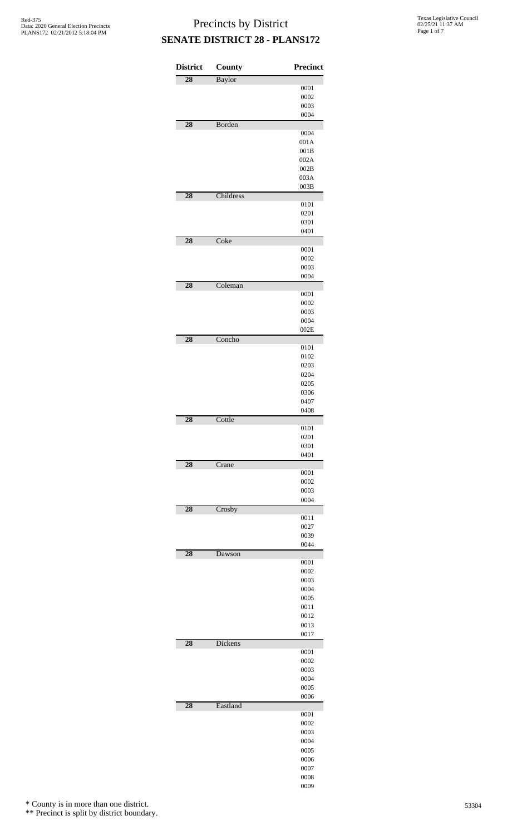| <b>District</b> | County    | Precinct     |
|-----------------|-----------|--------------|
| $\overline{28}$ | Baylor    |              |
|                 |           | 0001         |
|                 |           | 0002         |
|                 |           | 0003<br>0004 |
| 28              | Borden    |              |
|                 |           | 0004         |
|                 |           | 001A         |
|                 |           | 001B         |
|                 |           | 002A         |
|                 |           | 002B<br>003A |
|                 |           | 003B         |
| 28              | Childress |              |
|                 |           | 0101         |
|                 |           | 0201         |
|                 |           | 0301         |
|                 |           | 0401         |
| 28              | Coke      | 0001         |
|                 |           | 0002         |
|                 |           | 0003         |
|                 |           | 0004         |
| 28              | Coleman   |              |
|                 |           | 0001         |
|                 |           | 0002         |
|                 |           | 0003<br>0004 |
|                 |           | 002E         |
| 28              | Concho    |              |
|                 |           | 0101         |
|                 |           | 0102         |
|                 |           | 0203         |
|                 |           | 0204         |
|                 |           | 0205<br>0306 |
|                 |           | 0407         |
|                 |           | 0408         |
| 28              | Cottle    |              |
|                 |           | 0101         |
|                 |           | 0201         |
|                 |           | 0301<br>0401 |
| $\overline{28}$ | Crane     |              |
|                 |           | 0001         |
|                 |           | 0002         |
|                 |           | 0003         |
|                 |           | 0004         |
| 28              | Crosby    | 0011         |
|                 |           | 0027         |
|                 |           | 0039         |
|                 |           | 0044         |
| 28              | Dawson    |              |
|                 |           | 0001<br>0002 |
|                 |           | 0003         |
|                 |           | 0004         |
|                 |           | 0005         |
|                 |           | 0011         |
|                 |           | 0012         |
|                 |           | 0013         |
| 28              | Dickens   | 0017         |
|                 |           | 0001         |
|                 |           | 0002         |
|                 |           | 0003         |
|                 |           | 0004         |
|                 |           | 0005         |
| 28              | Eastland  | 0006         |
|                 |           | 0001         |
|                 |           | 0002         |
|                 |           | 0003         |
|                 |           | 0004         |
|                 |           | 0005         |
|                 |           | 0006         |
|                 |           | 0007<br>0008 |
|                 |           |              |

\* County is in more than one district.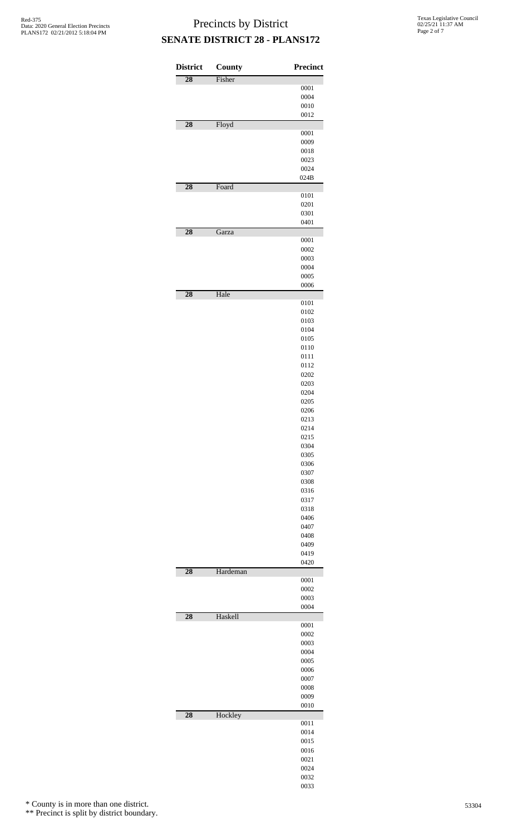| <b>District</b> | County   | Precinct     |
|-----------------|----------|--------------|
| $\overline{28}$ | Fisher   |              |
|                 |          | 0001         |
|                 |          | 0004         |
|                 |          | 0010         |
| 28              | Floyd    | 0012         |
|                 |          | 0001         |
|                 |          | 0009         |
|                 |          | 0018         |
|                 |          | 0023         |
|                 |          | 0024         |
|                 |          | 024B         |
| 28              | Foard    | 0101         |
|                 |          | 0201         |
|                 |          | 0301         |
|                 |          | 0401         |
| $\overline{28}$ | Garza    |              |
|                 |          | 0001         |
|                 |          | 0002         |
|                 |          | 0003         |
|                 |          | 0004         |
|                 |          | 0005         |
| $\overline{28}$ | Hale     | 0006         |
|                 |          | 0101         |
|                 |          | 0102         |
|                 |          | 0103         |
|                 |          | 0104         |
|                 |          | 0105         |
|                 |          | 0110         |
|                 |          | 0111         |
|                 |          | 0112         |
|                 |          | 0202         |
|                 |          | 0203<br>0204 |
|                 |          | 0205         |
|                 |          | 0206         |
|                 |          | 0213         |
|                 |          | 0214         |
|                 |          | 0215         |
|                 |          | 0304         |
|                 |          | 0305         |
|                 |          | 0306         |
|                 |          | 0307<br>0308 |
|                 |          | 0316         |
|                 |          | 0317         |
|                 |          | 0318         |
|                 |          | 0406         |
|                 |          | 0407         |
|                 |          | 0408         |
|                 |          | 0409         |
|                 |          | 0419         |
| 28              | Hardeman | 0420         |
|                 |          | 0001         |
|                 |          | 0002         |
|                 |          | 0003         |
|                 |          | 0004         |
| 28              | Haskell  |              |
|                 |          | 0001         |
|                 |          | 0002<br>0003 |
|                 |          | 0004         |
|                 |          | 0005         |
|                 |          | 0006         |
|                 |          | 0007         |
|                 |          | 0008         |
|                 |          | 0009         |
|                 |          | 0010         |
| 28              | Hockley  |              |
|                 |          | 0011<br>0014 |
|                 |          | 0015         |
|                 |          | 0016         |
|                 |          | 0021         |
|                 |          | 0024         |
|                 |          | 0032         |
|                 |          | 0033         |

\* County is in more than one district.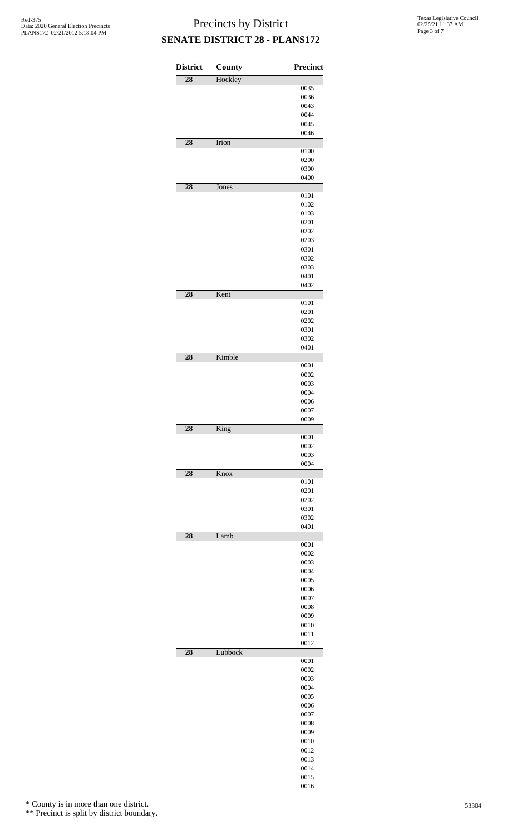| <b>District</b> | County  | Precinct     |
|-----------------|---------|--------------|
| $\overline{28}$ | Hockley |              |
|                 |         | 0035         |
|                 |         | 0036<br>0043 |
|                 |         | 0044         |
|                 |         | 0045         |
|                 |         | 0046         |
| 28              | Irion   |              |
|                 |         | 0100<br>0200 |
|                 |         | 0300         |
|                 |         | 0400         |
| $\overline{28}$ | Jones   |              |
|                 |         | 0101<br>0102 |
|                 |         | 0103         |
|                 |         | 0201         |
|                 |         | 0202         |
|                 |         | 0203<br>0301 |
|                 |         | 0302         |
|                 |         | 0303         |
|                 |         | 0401         |
|                 |         | 0402         |
| $\overline{28}$ | Kent    | 0101         |
|                 |         | 0201         |
|                 |         | 0202         |
|                 |         | 0301         |
|                 |         | 0302         |
| 28              | Kimble  | 0401         |
|                 |         | 0001         |
|                 |         | 0002         |
|                 |         | 0003         |
|                 |         | 0004<br>0006 |
|                 |         | 0007         |
|                 |         | 0009         |
| $\overline{28}$ | King    |              |
|                 |         | 0001<br>0002 |
|                 |         | 0003         |
|                 |         | 0004         |
| $\overline{28}$ | Knox    |              |
|                 |         | 0101<br>0201 |
|                 |         | 0202         |
|                 |         | 0301         |
|                 |         | 0302         |
| 28              | Lamb    | 0401         |
|                 |         | 0001         |
|                 |         | 0002         |
|                 |         | 0003         |
|                 |         | 0004<br>0005 |
|                 |         | 0006         |
|                 |         | 0007         |
|                 |         | 0008         |
|                 |         | 0009<br>0010 |
|                 |         | 0011         |
|                 |         | 0012         |
| 28              | Lubbock |              |
|                 |         | 0001<br>0002 |
|                 |         |              |
|                 |         |              |
|                 |         | 0003<br>0004 |
|                 |         | 0005         |
|                 |         | 0006         |
|                 |         | 0007         |
|                 |         | 0008         |
|                 |         | 0009<br>0010 |
|                 |         | 0012         |
|                 |         | 0013         |
|                 |         | 0014<br>0015 |

\* County is in more than one district.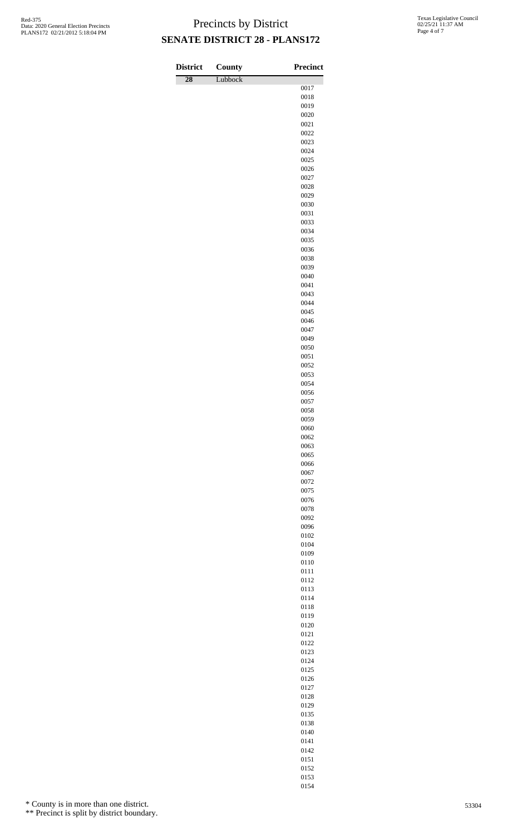| <b>District</b> | <b>County</b> | <b>Precinct</b> |
|-----------------|---------------|-----------------|
| $\overline{28}$ | Lubbock       | 0017            |
|                 |               | 0018            |
|                 |               | 0019            |
|                 |               | 0020            |
|                 |               | 0021            |
|                 |               | 0022<br>0023    |
|                 |               | 0024            |
|                 |               | 0025            |
|                 |               | 0026            |
|                 |               | 0027<br>0028    |
|                 |               | 0029            |
|                 |               | 0030            |
|                 |               | 0031            |
|                 |               | 0033            |
|                 |               | 0034<br>0035    |
|                 |               | 0036            |
|                 |               | 0038            |
|                 |               | 0039            |
|                 |               | 0040            |
|                 |               | 0041<br>0043    |
|                 |               | 0044            |
|                 |               | 0045            |
|                 |               | 0046            |
|                 |               | 0047            |
|                 |               | 0049<br>0050    |
|                 |               | 0051            |
|                 |               | 0052            |
|                 |               | 0053            |
|                 |               | 0054            |
|                 |               | 0056<br>0057    |
|                 |               | 0058            |
|                 |               | 0059            |
|                 |               | 0060            |
|                 |               | 0062            |
|                 |               | 0063<br>0065    |
|                 |               | 0066            |
|                 |               | 0067            |
|                 |               | 0072            |
|                 |               | 0075            |
|                 |               | 0076<br>0078    |
|                 |               | 0092            |
|                 |               | 0096            |
|                 |               | 0102            |
|                 |               | 0104            |
|                 |               | 0109<br>0110    |
|                 |               | 0111            |
|                 |               | 0112            |
|                 |               | 0113            |
|                 |               | 0114<br>0118    |
|                 |               | 0119            |
|                 |               | 0120            |
|                 |               | 0121            |
|                 |               | 0122            |
|                 |               | 0123            |
|                 |               | 0124<br>0125    |
|                 |               | 0126            |
|                 |               | 0127            |
|                 |               | 0128            |
|                 |               | 0129            |
|                 |               | 0135<br>0138    |
|                 |               | 0140            |
|                 |               | 0141            |

\* County is in more than one district.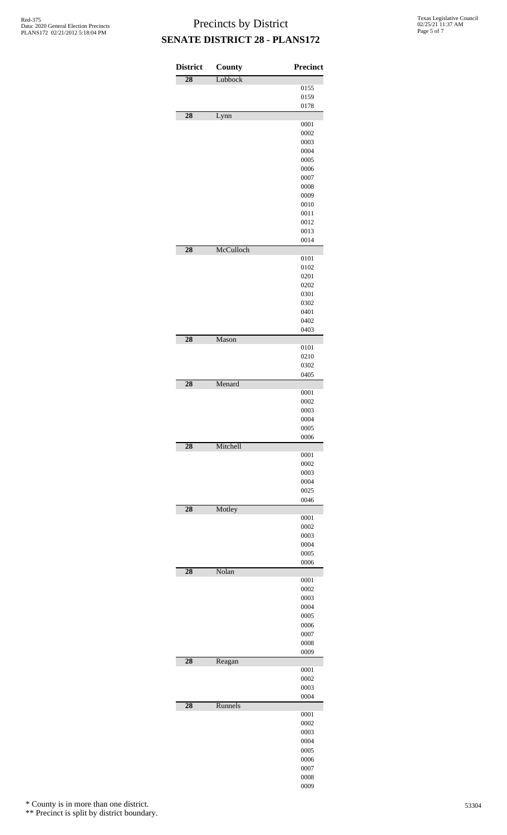| <b>District</b> | County    | <b>Precinct</b> |
|-----------------|-----------|-----------------|
| 28              | Lubbock   |                 |
|                 |           | 0155            |
|                 |           | 0159            |
| 28              | Lynn      | 0178            |
|                 |           | 0001            |
|                 |           | 0002            |
|                 |           | 0003            |
|                 |           | 0004            |
|                 |           | 0005<br>0006    |
|                 |           | 0007            |
|                 |           | 0008            |
|                 |           | 0009            |
|                 |           | 0010            |
|                 |           | 0011            |
|                 |           | 0012<br>0013    |
|                 |           | 0014            |
| 28              | McCulloch |                 |
|                 |           | 0101            |
|                 |           | 0102            |
|                 |           | 0201            |
|                 |           | 0202<br>0301    |
|                 |           | 0302            |
|                 |           | 0401            |
|                 |           | 0402            |
|                 |           | 0403            |
| 28              | Mason     |                 |
|                 |           | 0101<br>0210    |
|                 |           | 0302            |
|                 |           | 0405            |
| 28              | Menard    |                 |
|                 |           | 0001            |
|                 |           | 0002<br>0003    |
|                 |           | 0004            |
|                 |           | 0005            |
|                 |           | 0006            |
| 28              | Mitchell  |                 |
|                 |           | 0001<br>0002    |
|                 |           | 0003            |
|                 |           | 0004            |
|                 |           | 0025            |
|                 |           | 0046            |
| 28              | Motley    | 0001            |
|                 |           | 0002            |
|                 |           | 0003            |
|                 |           | 0004            |
|                 |           | 0005            |
|                 | Nolan     | 0006            |
| 28              |           | 0001            |
|                 |           | 0002            |
|                 |           | 0003            |
|                 |           | 0004            |
|                 |           | 0005            |
|                 |           | 0006<br>0007    |
|                 |           | 0008            |
|                 |           | 0009            |
| 28              | Reagan    |                 |
|                 |           | 0001            |
|                 |           | 0002<br>0003    |
|                 |           | 0004            |
| 28              | Runnels   |                 |
|                 |           | 0001            |
|                 |           | 0002            |
|                 |           | 0003            |
|                 |           | 0004            |
|                 |           | 0005<br>0006    |
|                 |           | 0007            |
|                 |           | 0008            |

\* County is in more than one district.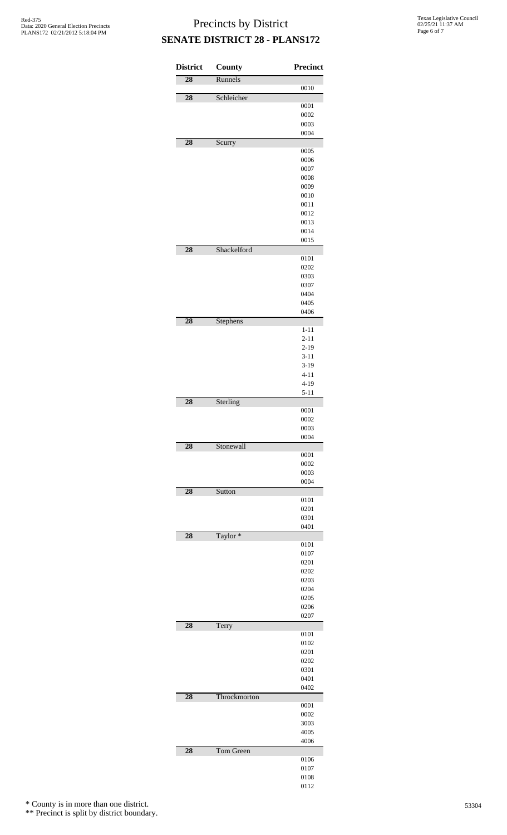Texas Legislative Council 02/25/21 11:37 AM Page 6 of 7

# Precincts by District **SENATE DISTRICT 28 - PLANS172**

| <b>District</b> | County       | Precinct             |
|-----------------|--------------|----------------------|
| $\overline{28}$ | Runnels      | 0010                 |
| 28              | Schleicher   |                      |
|                 |              | 0001                 |
|                 |              | 0002<br>0003         |
|                 |              | 0004                 |
| 28              | Scurry       |                      |
|                 |              | 0005                 |
|                 |              | 0006                 |
|                 |              | 0007<br>0008         |
|                 |              | 0009                 |
|                 |              | 0010                 |
|                 |              | 0011                 |
|                 |              | 0012                 |
|                 |              | 0013<br>0014         |
|                 |              | 0015                 |
| $\overline{28}$ | Shackelford  |                      |
|                 |              | 0101                 |
|                 |              | 0202                 |
|                 |              | 0303                 |
|                 |              | 0307<br>0404         |
|                 |              | 0405                 |
|                 |              | 0406                 |
| 28              | Stephens     |                      |
|                 |              | $1 - 11$             |
|                 |              | $2 - 11$             |
|                 |              | $2 - 19$<br>$3 - 11$ |
|                 |              | $3 - 19$             |
|                 |              | $4 - 11$             |
|                 |              | $4 - 19$             |
|                 |              | $5 - 11$             |
| 28              | Sterling     |                      |
|                 |              | 0001<br>0002         |
|                 |              | 0003                 |
|                 |              | 0004                 |
| 28              | Stonewall    |                      |
|                 |              | 0001<br>0002         |
|                 |              | 0003                 |
|                 |              | 0004                 |
| 28              | Sutton       |                      |
|                 |              | 0101                 |
|                 |              | 0201<br>0301         |
|                 |              | 0401                 |
| 28              | Taylor*      |                      |
|                 |              | 0101                 |
|                 |              | 0107<br>0201         |
|                 |              | 0202                 |
|                 |              | 0203                 |
|                 |              | 0204                 |
|                 |              | 0205                 |
|                 |              | 0206                 |
| 28              |              | 0207                 |
|                 | Terry        | 0101                 |
|                 |              | 0102                 |
|                 |              | 0201                 |
|                 |              | 0202                 |
|                 |              | 0301                 |
|                 |              | 0401<br>0402         |
| 28              | Throckmorton |                      |
|                 |              | 0001                 |
|                 |              | 0002                 |
|                 |              | 3003                 |
|                 |              | 4005<br>4006         |
| 28              | Tom Green    |                      |
|                 |              | 0106                 |
|                 |              | 0107                 |
|                 |              | 0108                 |
|                 |              | 0112                 |

\* County is in more than one district.